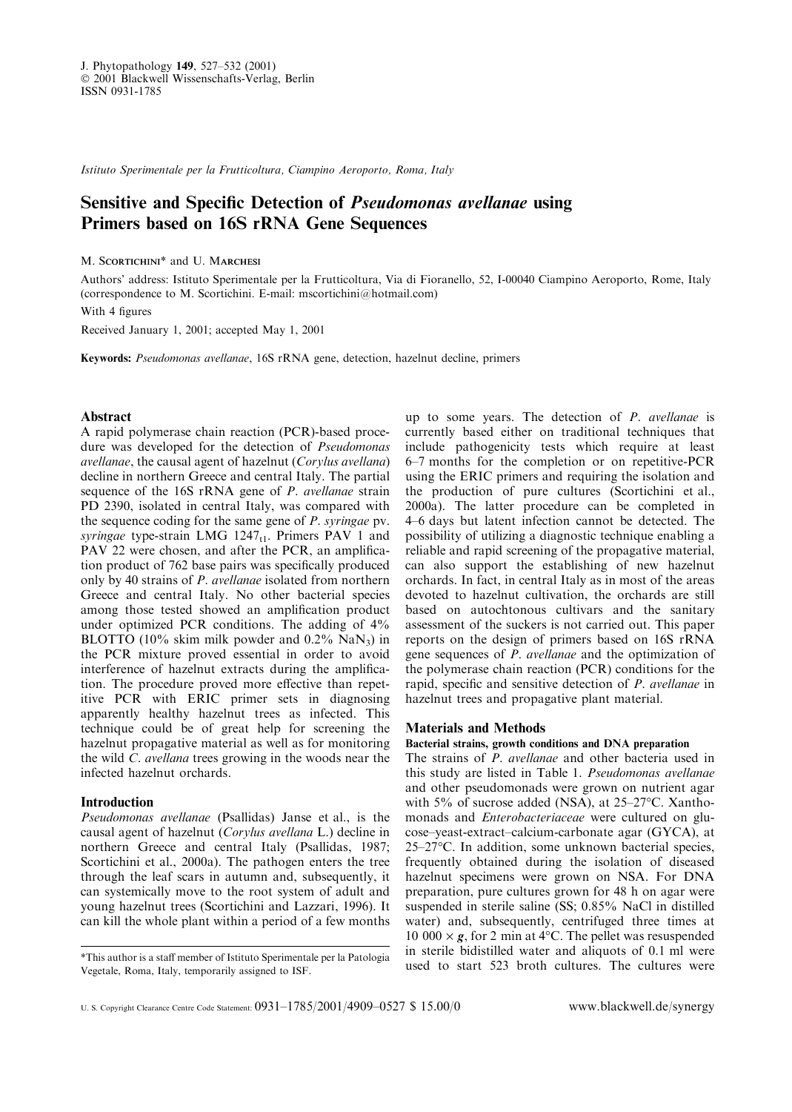Istituto Sperimentale per la Frutticoltura, Ciampino Aeroporto, Roma, Italy

# Sensitive and Specific Detection of *Pseudomonas avellanae* using Primers based on 16S rRNA Gene Sequences

# M. SCORTICHINI<sup>\*</sup> and U. MARCHESI

Authors' address: Istituto Sperimentale per la Frutticoltura, Via di Fioranello, 52, I-00040 Ciampino Aeroporto, Rome, Italy (correspondence to M. Scortichini. E-mail: mscortichini@hotmail.com)

With 4 figures

Received January 1, 2001; accepted May 1, 2001

Keywords: Pseudomonas avellanae, 16S rRNA gene, detection, hazelnut decline, primers

# Abstract

A rapid polymerase chain reaction (PCR)-based procedure was developed for the detection of Pseudomonas avellanae, the causal agent of hazelnut (Corylus avellana) decline in northern Greece and central Italy. The partial sequence of the 16S rRNA gene of *P. avellanae* strain PD 2390, isolated in central Italy, was compared with the sequence coding for the same gene of P. syringae pv. syringae type-strain LMG  $1247_{t1}$ . Primers PAV 1 and PAV 22 were chosen, and after the PCR, an amplification product of 762 base pairs was specifically produced only by 40 strains of P. avellanae isolated from northern Greece and central Italy. No other bacterial species among those tested showed an amplification product under optimized PCR conditions. The adding of 4% BLOTTO (10% skim milk powder and 0.2% NaN3) in the PCR mixture proved essential in order to avoid interference of hazelnut extracts during the amplification. The procedure proved more effective than repetitive PCR with ERIC primer sets in diagnosing apparently healthy hazelnut trees as infected. This technique could be of great help for screening the hazelnut propagative material as well as for monitoring the wild C. avellana trees growing in the woods near the infected hazelnut orchards.

### Introduction

Pseudomonas avellanae (Psallidas) Janse et al., is the causal agent of hazelnut (Corylus avellana L.) decline in northern Greece and central Italy (Psallidas, 1987; Scortichini et al., 2000a). The pathogen enters the tree through the leaf scars in autumn and, subsequently, it can systemically move to the root system of adult and young hazelnut trees (Scortichini and Lazzari, 1996). It can kill the whole plant within a period of a few months up to some years. The detection of P. avellanae is currently based either on traditional techniques that include pathogenicity tests which require at least 6±7 months for the completion or on repetitive-PCR using the ERIC primers and requiring the isolation and the production of pure cultures (Scortichini et al., 2000a). The latter procedure can be completed in 4±6 days but latent infection cannot be detected. The possibility of utilizing a diagnostic technique enabling a reliable and rapid screening of the propagative material, can also support the establishing of new hazelnut orchards. In fact, in central Italy as in most of the areas devoted to hazelnut cultivation, the orchards are still based on autochtonous cultivars and the sanitary assessment of the suckers is not carried out. This paper reports on the design of primers based on 16S rRNA gene sequences of P. avellanae and the optimization of the polymerase chain reaction (PCR) conditions for the rapid, specific and sensitive detection of P. avellanae in hazelnut trees and propagative plant material.

## Materials and Methods

#### Bacterial strains, growth conditions and DNA preparation

The strains of P. avellanae and other bacteria used in this study are listed in Table 1. Pseudomonas avellanae and other pseudomonads were grown on nutrient agar with 5% of sucrose added (NSA), at  $25-27^{\circ}$ C. Xanthomonads and Enterobacteriaceae were cultured on glucose–yeast-extract–calcium-carbonate agar (GYCA), at  $25-27$ °C. In addition, some unknown bacterial species, frequently obtained during the isolation of diseased hazelnut specimens were grown on NSA. For DNA preparation, pure cultures grown for 48 h on agar were suspended in sterile saline (SS; 0.85% NaCl in distilled water) and, subsequently, centrifuged three times at 10 000  $\times$  g, for 2 min at 4°C. The pellet was resuspended in sterile bidistilled water and aliquots of 0.1 ml were This author is a staff member of Istituto Sperimentale per la Patologia  $\frac{111}{111}$  stefful but water and and and and  $\frac{1}{111}$  were  $\frac{1}{111}$  were  $\frac{1}{111}$  were  $\frac{1}{111}$  were  $\frac{1}{111}$  were  $\frac{1}{111}$  were

Vegetale, Roma, Italy, temporarily assigned to ISF.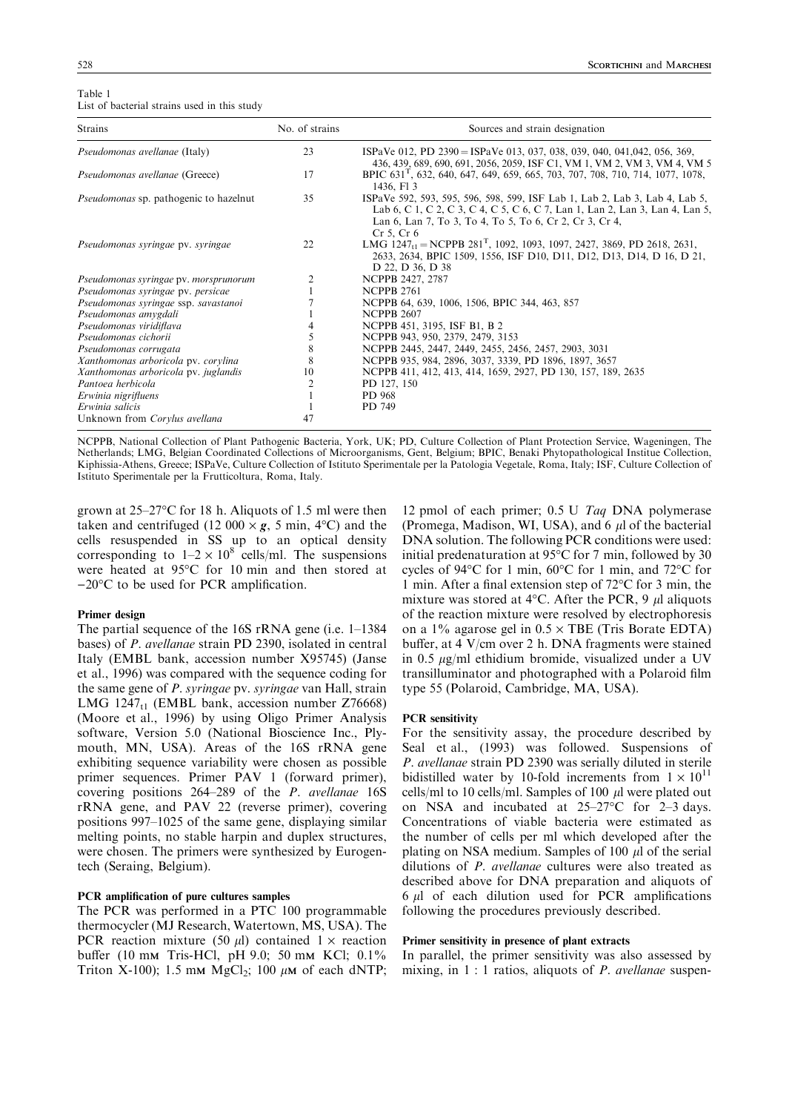| Table 1                                      |  |  |  |
|----------------------------------------------|--|--|--|
| List of bacterial strains used in this study |  |  |  |

| <b>Strains</b>                                | No. of strains | Sources and strain designation                                                                                                                                                                                                                              |  |  |  |  |  |
|-----------------------------------------------|----------------|-------------------------------------------------------------------------------------------------------------------------------------------------------------------------------------------------------------------------------------------------------------|--|--|--|--|--|
| Pseudomonas avellanae (Italy)                 | 23             | ISPaVe 012, PD 2390 = ISPaVe 013, 037, 038, 039, 040, 041,042, 056, 369,<br>436, 439, 689, 690, 691, 2056, 2059, ISF C1, VM 1, VM 2, VM 3, VM 4, VM 5                                                                                                       |  |  |  |  |  |
| Pseudomonas avellanae (Greece)                | 17             | BPIC 631 <sup>T</sup> , 632, 640, 647, 649, 659, 665, 703, 707, 708, 710, 714, 1077, 1078,<br>1436, F13                                                                                                                                                     |  |  |  |  |  |
| <i>Pseudomonas</i> sp. pathogenic to hazelnut | 35             | ISPaVe 592, 593, 595, 596, 598, 599, ISF Lab 1, Lab 2, Lab 3, Lab 4, Lab 5,<br>Lab 6, C 1, C 2, C 3, C 4, C 5, C 6, C 7, Lan 1, Lan 2, Lan 3, Lan 4, Lan 5,<br>Lan 6, Lan 7, To 3, To 4, To 5, To 6, Cr 2, Cr 3, Cr 4,<br>Cr <sub>5</sub> , Cr <sub>6</sub> |  |  |  |  |  |
| Pseudomonas syringae pv. syringae             | 22             | LMG $1247_{1}$ = NCPPB $281^{T}$ , 1092, 1093, 1097, 2427, 3869, PD 2618, 2631,<br>2633, 2634, BPIC 1509, 1556, ISF D10, D11, D12, D13, D14, D 16, D 21,<br>D 22, D 36, D 38                                                                                |  |  |  |  |  |
| Pseudomonas syringae pv. morsprunorum         | 2              | NCPPB 2427, 2787                                                                                                                                                                                                                                            |  |  |  |  |  |
| Pseudomonas syringae pv. persicae             |                | <b>NCPPB 2761</b>                                                                                                                                                                                                                                           |  |  |  |  |  |
| Pseudomonas syringae ssp. savastanoi          |                | NCPPB 64, 639, 1006, 1506, BPIC 344, 463, 857                                                                                                                                                                                                               |  |  |  |  |  |
| Pseudomonas amygdali                          |                | <b>NCPPB 2607</b>                                                                                                                                                                                                                                           |  |  |  |  |  |
| Pseudomonas viridiflava                       |                | NCPPB 451, 3195, ISF B1, B 2                                                                                                                                                                                                                                |  |  |  |  |  |
| Pseudomonas cichorii                          |                | NCPPB 943, 950, 2379, 2479, 3153                                                                                                                                                                                                                            |  |  |  |  |  |
| Pseudomonas corrugata                         | 8              | NCPPB 2445, 2447, 2449, 2455, 2456, 2457, 2903, 3031                                                                                                                                                                                                        |  |  |  |  |  |
| Xanthomonas arboricola pv. corylina           | 8              | NCPPB 935, 984, 2896, 3037, 3339, PD 1896, 1897, 3657                                                                                                                                                                                                       |  |  |  |  |  |
| Xanthomonas arboricola pv. juglandis          | 10             | NCPPB 411, 412, 413, 414, 1659, 2927, PD 130, 157, 189, 2635                                                                                                                                                                                                |  |  |  |  |  |
| Pantoea herbicola                             |                | PD 127, 150                                                                                                                                                                                                                                                 |  |  |  |  |  |
| Erwinia nigrifluens                           |                | PD 968                                                                                                                                                                                                                                                      |  |  |  |  |  |
| Erwinia salicis                               |                | PD 749                                                                                                                                                                                                                                                      |  |  |  |  |  |
| Unknown from Corylus avellana                 | 47             |                                                                                                                                                                                                                                                             |  |  |  |  |  |

NCPPB, National Collection of Plant Pathogenic Bacteria, York, UK; PD, Culture Collection of Plant Protection Service, Wageningen, The Netherlands; LMG, Belgian Coordinated Collections of Microorganisms, Gent, Belgium; BPIC, Benaki Phytopathological Institue Collection, Kiphissia-Athens, Greece; ISPaVe, Culture Collection of Istituto Sperimentale per la Patologia Vegetale, Roma, Italy; ISF, Culture Collection of Istituto Sperimentale per la Frutticoltura, Roma, Italy.

grown at  $25-27$ °C for 18 h. Aliquots of 1.5 ml were then taken and centrifuged (12 000  $\times$  g, 5 min, 4°C) and the cells resuspended in SS up to an optical density corresponding to  $1-2 \times 10^8$  cells/ml. The suspensions were heated at 95°C for 10 min and then stored at  $-20$ °C to be used for PCR amplification.

# Primer design

The partial sequence of the  $16S$  rRNA gene (i.e.  $1-1384$ ) bases) of P. avellanae strain PD 2390, isolated in central Italy (EMBL bank, accession number X95745) (Janse et al., 1996) was compared with the sequence coding for the same gene of P. syringae pv. syringae van Hall, strain LMG 1247 $_{t}$ 1 (EMBL bank, accession number Z76668) (Moore et al., 1996) by using Oligo Primer Analysis software, Version 5.0 (National Bioscience Inc., Plymouth, MN, USA). Areas of the 16S rRNA gene exhibiting sequence variability were chosen as possible primer sequences. Primer PAV 1 (forward primer), covering positions  $264-289$  of the *P. avellanae* 16S rRNA gene, and PAV 22 (reverse primer), covering positions 997–1025 of the same gene, displaying similar melting points, no stable harpin and duplex structures, were chosen. The primers were synthesized by Eurogentech (Seraing, Belgium).

# PCR amplification of pure cultures samples

The PCR was performed in a PTC 100 programmable thermocycler (MJ Research, Watertown, MS, USA). The PCR reaction mixture (50  $\mu$ l) contained 1  $\times$  reaction buffer (10 mm Tris-HCl, pH 9.0; 50 mm KCl; 0.1% Triton X-100); 1.5 mm  $MgCl_2$ ; 100  $\mu$ m of each dNTP;

12 pmol of each primer; 0.5 U Taq DNA polymerase (Promega, Madison, WI, USA), and  $6 \mu l$  of the bacterial DNA solution. The following PCR conditions were used: initial predenaturation at 95°C for 7 min, followed by 30 cycles of 94°C for 1 min, 60°C for 1 min, and 72°C for 1 min. After a final extension step of  $72^{\circ}$ C for 3 min, the mixture was stored at 4 $\rm ^{o}C$ . After the PCR, 9  $\mu$ l aliquots of the reaction mixture were resolved by electrophoresis on a 1% agarose gel in  $0.5 \times$  TBE (Tris Borate EDTA) buffer, at 4 V/cm over 2 h. DNA fragments were stained in 0.5  $\mu$ g/ml ethidium bromide, visualized under a UV transilluminator and photographed with a Polaroid film type 55 (Polaroid, Cambridge, MA, USA).

### PCR sensitivity

For the sensitivity assay, the procedure described by Seal et al., (1993) was followed. Suspensions of P. avellanae strain PD 2390 was serially diluted in sterile bidistilled water by 10-fold increments from  $1 \times 10^{11}$ cells/ml to 10 cells/ml. Samples of 100  $\mu$ l were plated out on NSA and incubated at  $25-27$ °C for 2-3 days. Concentrations of viable bacteria were estimated as the number of cells per ml which developed after the plating on NSA medium. Samples of 100  $\mu$ l of the serial dilutions of P. avellanae cultures were also treated as described above for DNA preparation and aliquots of  $6 \mu l$  of each dilution used for PCR amplifications following the procedures previously described.

# Primer sensitivity in presence of plant extracts

In parallel, the primer sensitivity was also assessed by mixing, in  $1:1$  ratios, aliquots of P. avellanae suspen-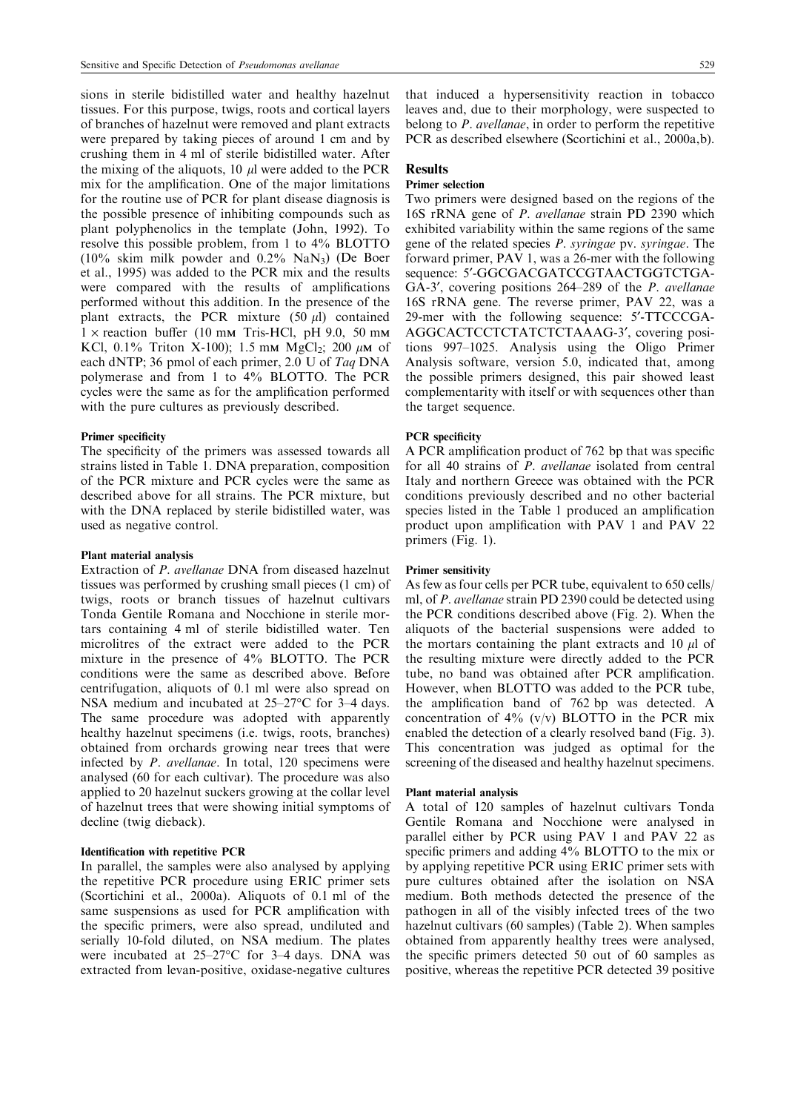sions in sterile bidistilled water and healthy hazelnut tissues. For this purpose, twigs, roots and cortical layers of branches of hazelnut were removed and plant extracts were prepared by taking pieces of around 1 cm and by crushing them in 4 ml of sterile bidistilled water. After the mixing of the aliquots, 10  $\mu$ l were added to the PCR mix for the amplification. One of the major limitations for the routine use of PCR for plant disease diagnosis is the possible presence of inhibiting compounds such as plant polyphenolics in the template (John, 1992). To resolve this possible problem, from 1 to 4% BLOTTO (10% skim milk powder and 0.2% NaN3) (De Boer et al., 1995) was added to the PCR mix and the results were compared with the results of amplifications performed without this addition. In the presence of the plant extracts, the PCR mixture  $(50 \mu l)$  contained  $1 \times$  reaction buffer (10 mm Tris-HCl, pH 9.0, 50 mm KCl, 0.1% Triton X-100); 1.5 mm MgCl<sub>2</sub>; 200  $\mu$ m of each dNTP; 36 pmol of each primer, 2.0 U of Taq DNA polymerase and from 1 to 4% BLOTTO. The PCR cycles were the same as for the amplification performed with the pure cultures as previously described.

#### Primer specificity

The specificity of the primers was assessed towards all strains listed in Table 1. DNA preparation, composition of the PCR mixture and PCR cycles were the same as described above for all strains. The PCR mixture, but with the DNA replaced by sterile bidistilled water, was used as negative control.

#### Plant material analysis

Extraction of P. avellanae DNA from diseased hazelnut tissues was performed by crushing small pieces (1 cm) of twigs, roots or branch tissues of hazelnut cultivars Tonda Gentile Romana and Nocchione in sterile mortars containing 4 ml of sterile bidistilled water. Ten microlitres of the extract were added to the PCR mixture in the presence of 4% BLOTTO. The PCR conditions were the same as described above. Before centrifugation, aliquots of 0.1 ml were also spread on NSA medium and incubated at  $25-27$ °C for 3–4 days. The same procedure was adopted with apparently healthy hazelnut specimens (i.e. twigs, roots, branches) obtained from orchards growing near trees that were infected by P. avellanae. In total, 120 specimens were analysed (60 for each cultivar). The procedure was also applied to 20 hazelnut suckers growing at the collar level of hazelnut trees that were showing initial symptoms of decline (twig dieback).

## Identification with repetitive PCR

In parallel, the samples were also analysed by applying the repetitive PCR procedure using ERIC primer sets (Scortichini et al., 2000a). Aliquots of 0.1 ml of the same suspensions as used for PCR amplification with the specific primers, were also spread, undiluted and serially 10-fold diluted, on NSA medium. The plates were incubated at  $25-27$ °C for 3-4 days. DNA was extracted from levan-positive, oxidase-negative cultures that induced a hypersensitivity reaction in tobacco leaves and, due to their morphology, were suspected to belong to P. avellanae, in order to perform the repetitive PCR as described elsewhere (Scortichini et al., 2000a,b).

# Results

# Primer selection

Two primers were designed based on the regions of the 16S rRNA gene of P. avellanae strain PD 2390 which exhibited variability within the same regions of the same gene of the related species P. syringae pv. syringae. The forward primer, PAV 1, was a 26-mer with the following sequence: 5'-GGCGACGATCCGTAACTGGTCTGA-GA-3', covering positions 264–289 of the *P. avellanae* 16S rRNA gene. The reverse primer, PAV 22, was a 29-mer with the following sequence: 5¢-TTCCCGA-AGGCACTCCTCTATCTCTAAAG-3', covering positions 997-1025. Analysis using the Oligo Primer Analysis software, version 5.0, indicated that, among the possible primers designed, this pair showed least complementarity with itself or with sequences other than the target sequence.

### **PCR** specificity

A PCR amplification product of 762 bp that was specific for all 40 strains of P. avellanae isolated from central Italy and northern Greece was obtained with the PCR conditions previously described and no other bacterial species listed in the Table 1 produced an amplification product upon amplification with PAV 1 and PAV 22 primers (Fig. 1).

#### Primer sensitivity

As few as four cells per PCR tube, equivalent to 650 cells/ ml, of *P. avellanae* strain PD 2390 could be detected using the PCR conditions described above (Fig. 2). When the aliquots of the bacterial suspensions were added to the mortars containing the plant extracts and 10  $\mu$ l of the resulting mixture were directly added to the PCR tube, no band was obtained after PCR amplification. However, when BLOTTO was added to the PCR tube, the amplification band of 762 bp was detected. A concentration of  $4\%$  (v/v) BLOTTO in the PCR mix enabled the detection of a clearly resolved band (Fig. 3). This concentration was judged as optimal for the screening of the diseased and healthy hazelnut specimens.

#### Plant material analysis

A total of 120 samples of hazelnut cultivars Tonda Gentile Romana and Nocchione were analysed in parallel either by PCR using PAV 1 and PAV 22 as specific primers and adding 4% BLOTTO to the mix or by applying repetitive PCR using ERIC primer sets with pure cultures obtained after the isolation on NSA medium. Both methods detected the presence of the pathogen in all of the visibly infected trees of the two hazelnut cultivars (60 samples) (Table 2). When samples obtained from apparently healthy trees were analysed, the specific primers detected 50 out of 60 samples as positive, whereas the repetitive PCR detected 39 positive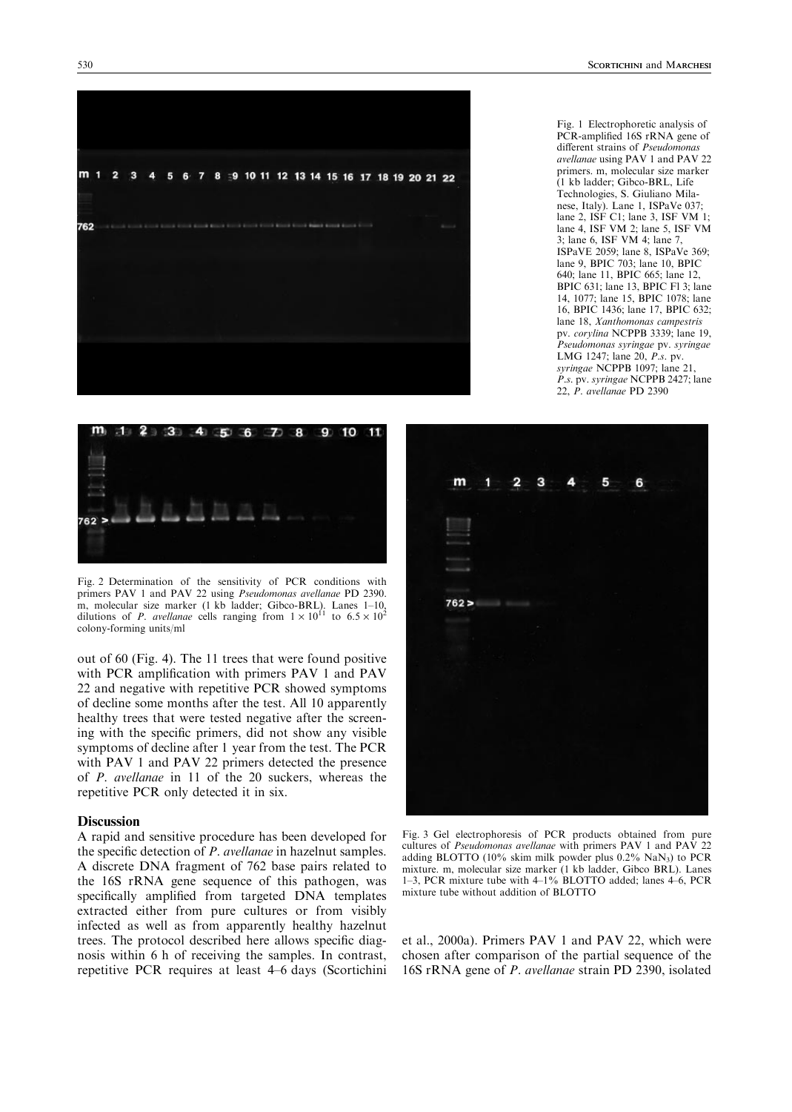

Fig. 1 Electrophoretic analysis of PCR-amplified 16S rRNA gene of different strains of Pseudomonas avellanae using PAV 1 and PAV 22 primers. m, molecular size marker (1 kb ladder; Gibco-BRL, Life Technologies, S. Giuliano Milanese, Italy). Lane 1, ISPaVe 037; lane 2, ISF C1; lane 3, ISF VM 1; lane 4, ISF VM 2; lane 5, ISF VM 3; lane 6, ISF VM 4; lane 7, ISPaVE 2059; lane 8, ISPaVe 369; lane 9, BPIC 703; lane 10, BPIC 640; lane 11, BPIC 665; lane 12, BPIC 631; lane 13, BPIC Fl 3; lane 14, 1077; lane 15, BPIC 1078; lane 16, BPIC 1436; lane 17, BPIC 632; lane 18, Xanthomonas campestris pv. corylina NCPPB 3339; lane 19, Pseudomonas syringae pv. syringae LMG 1247; lane  $20$ ,  $\overrightarrow{P}$ .s. pv. syringae NCPPB 1097; lane 21. P.s. pv. syringae NCPPB 2427; lane

22, P. avellanae PD 2390



Fig. 2 Determination of the sensitivity of PCR conditions with primers PAV 1 and PAV 22 using Pseudomonas avellanae PD 2390. m, molecular size marker (1 kb ladder; Gibco-BRL). Lanes 1–10, dilutions of *P. avellanae* cells ranging from  $1 \times 10^{11}$  to 6.5  $\times 10^{2}$ colony-forming units/ml

out of 60 (Fig. 4). The 11 trees that were found positive with PCR amplification with primers PAV 1 and PAV 22 and negative with repetitive PCR showed symptoms of decline some months after the test. All 10 apparently healthy trees that were tested negative after the screening with the specific primers, did not show any visible symptoms of decline after 1 year from the test. The PCR with PAV 1 and PAV 22 primers detected the presence of P. avellanae in 11 of the 20 suckers, whereas the repetitive PCR only detected it in six.

#### **Discussion**

A rapid and sensitive procedure has been developed for the specific detection of *P. avellanae* in hazelnut samples. A discrete DNA fragment of 762 base pairs related to the 16S rRNA gene sequence of this pathogen, was specifically amplified from targeted DNA templates extracted either from pure cultures or from visibly infected as well as from apparently healthy hazelnut trees. The protocol described here allows specific diagnosis within 6 h of receiving the samples. In contrast, repetitive PCR requires at least 4–6 days (Scortichini



Fig. 3 Gel electrophoresis of PCR products obtained from pure cultures of Pseudomonas avellanae with primers PAV 1 and PAV adding BLOTTO (10% skim milk powder plus 0.2% NaN3) to PCR mixture. m, molecular size marker (1 kb ladder, Gibco BRL). Lanes 1 $-3$ , PCR mixture tube with  $4-1\%$  BLOTTO added; lanes  $4-6$ , PCR mixture tube without addition of BLOTTO

et al., 2000a). Primers PAV 1 and PAV 22, which were chosen after comparison of the partial sequence of the 16S rRNA gene of P. avellanae strain PD 2390, isolated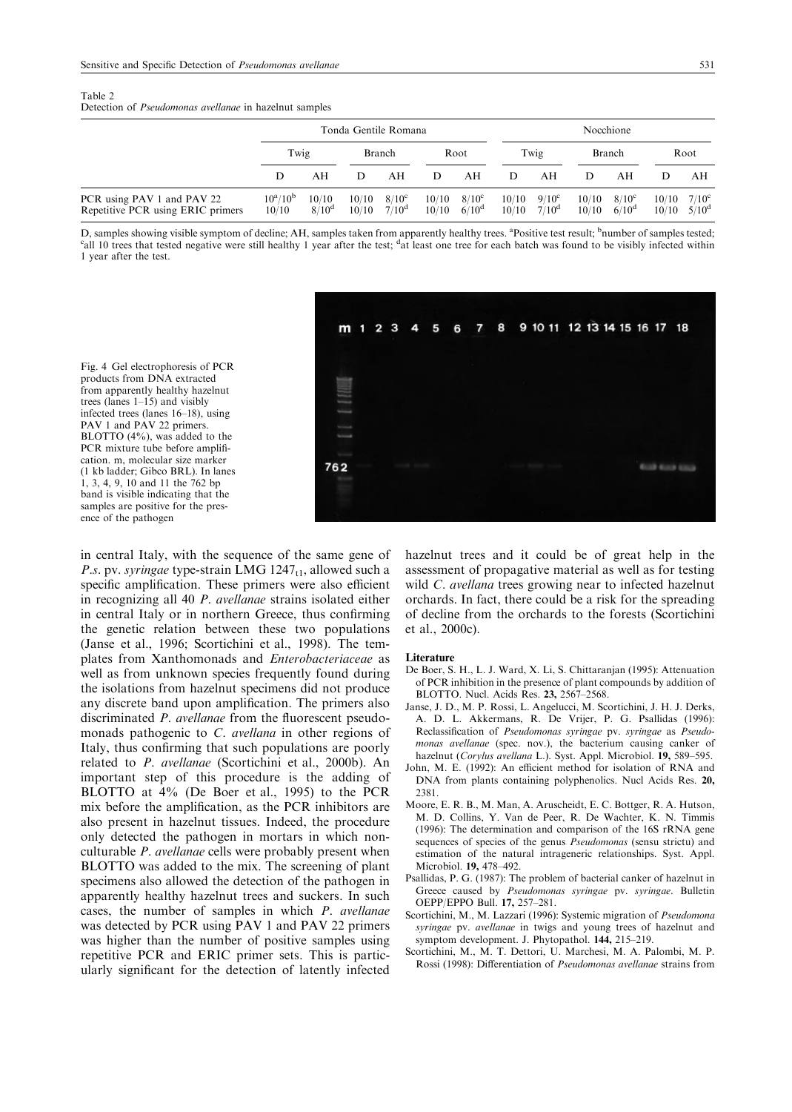| Table 2 |                                                               |  |  |
|---------|---------------------------------------------------------------|--|--|
|         | Detection of <i>Pseudomonas avellanae</i> in hazelnut samples |  |  |

|                                                                 | Tonda Gentile Romana |                            |                |                                  | Nocchione      |                                     |                |                                  |                |                                     |                        |                        |
|-----------------------------------------------------------------|----------------------|----------------------------|----------------|----------------------------------|----------------|-------------------------------------|----------------|----------------------------------|----------------|-------------------------------------|------------------------|------------------------|
|                                                                 | Twig                 |                            |                | Root<br><b>Branch</b>            |                |                                     | Twig           |                                  | <b>Branch</b>  |                                     | Root                   |                        |
|                                                                 | Ð                    | ΑH                         |                | AН                               | D              | AΗ                                  |                | AН                               |                | AН                                  |                        | AН                     |
| PCR using PAV 1 and PAV 22<br>Repetitive PCR using ERIC primers | $10^a/10^b$<br>10/10 | 10/10<br>8/10 <sup>d</sup> | 10/10<br>10/10 | $8/10^{\circ}$<br>$7/10^{\circ}$ | 10/10<br>10/10 | $8/10^{\circ}$<br>6/10 <sup>d</sup> | 10/10<br>10/10 | $9/10^{\circ}$<br>$7/10^{\circ}$ | 10/10<br>10/10 | $8/10^{\circ}$<br>6/10 <sup>d</sup> | $10/10$ $5/10^{\circ}$ | $10/10$ $7/10^{\circ}$ |

D, samples showing visible symptom of decline; AH, samples taken from apparently healthy trees. <sup>a</sup>Positive test result; <sup>b</sup>number of samples tested;<br><sup>C</sup><sub>1</sub>l 10 trees that tested negative were still healthy 1 year after t all 10 trees that tested negative were still healthy 1 year after the test;  $d\hat{\textbf{a}}$  least one tree for each batch was found to be visibly infected within 1 year after the test.

Fig. 4 Gel electrophoresis of PCR products from DNA extracted from apparently healthy hazelnut trees (lanes  $1-15$ ) and visibly infected trees (lanes 16-18), using PAV 1 and PAV 22 primers. BLOTTO (4%), was added to the PCR mixture tube before amplification. m, molecular size marker (1 kb ladder; Gibco BRL). In lanes 1, 3, 4, 9, 10 and 11 the 762 bp band is visible indicating that the samples are positive for the presence of the pathogen

in central Italy, with the sequence of the same gene of P.s. pv. syringae type-strain LMG  $1247_{t1}$ , allowed such a specific amplification. These primers were also efficient in recognizing all 40 P. avellanae strains isolated either in central Italy or in northern Greece, thus confirming the genetic relation between these two populations (Janse et al., 1996; Scortichini et al., 1998). The templates from Xanthomonads and Enterobacteriaceae as well as from unknown species frequently found during the isolations from hazelnut specimens did not produce any discrete band upon amplification. The primers also discriminated *P. avellanae* from the fluorescent pseudomonads pathogenic to C. avellana in other regions of Italy, thus confirming that such populations are poorly related to P. avellanae (Scortichini et al., 2000b). An important step of this procedure is the adding of BLOTTO at 4% (De Boer et al., 1995) to the PCR mix before the amplification, as the PCR inhibitors are also present in hazelnut tissues. Indeed, the procedure only detected the pathogen in mortars in which nonculturable P. avellanae cells were probably present when BLOTTO was added to the mix. The screening of plant specimens also allowed the detection of the pathogen in apparently healthy hazelnut trees and suckers. In such cases, the number of samples in which P. avellanae was detected by PCR using PAV 1 and PAV 22 primers was higher than the number of positive samples using repetitive PCR and ERIC primer sets. This is particularly significant for the detection of latently infected

hazelnut trees and it could be of great help in the assessment of propagative material as well as for testing wild C. avellana trees growing near to infected hazelnut orchards. In fact, there could be a risk for the spreading of decline from the orchards to the forests (Scortichini et al., 2000c).

#### Literature

- De Boer, S. H., L. J. Ward, X. Li, S. Chittaranjan (1995): Attenuation of PCR inhibition in the presence of plant compounds by addition of BLOTTO. Nucl. Acids Res. 23, 2567-2568.
- Janse, J. D., M. P. Rossi, L. Angelucci, M. Scortichini, J. H. J. Derks, A. D. L. Akkermans, R. De Vrijer, P. G. Psallidas (1996): Reclassification of Pseudomonas syringae pv. syringae as Pseudomonas avellanae (spec. nov.), the bacterium causing canker of hazelnut (Corylus avellana L.). Syst. Appl. Microbiol. 19, 589-595.
- John, M. E. (1992): An efficient method for isolation of RNA and DNA from plants containing polyphenolics. Nucl Acids Res. 20, 2381.
- Moore, E. R. B., M. Man, A. Aruscheidt, E. C. Bottger, R. A. Hutson, M. D. Collins, Y. Van de Peer, R. De Wachter, K. N. Timmis (1996): The determination and comparison of the 16S rRNA gene sequences of species of the genus *Pseudomonas* (sensu strictu) and estimation of the natural intrageneric relationships. Syst. Appl. Microbiol. 19, 478-492.
- Psallidas, P. G. (1987): The problem of bacterial canker of hazelnut in Greece caused by Pseudomonas syringae pv. syringae. Bulletin OEPP/EPPO Bull. 17, 257-281.
- Scortichini, M., M. Lazzari (1996): Systemic migration of Pseudomona syringae py. *avellange* in twigs and young trees of hazelnut and symptom development. J. Phytopathol. 144, 215-219.
- Scortichini, M., M. T. Dettori, U. Marchesi, M. A. Palombi, M. P. Rossi (1998): Differentiation of Pseudomonas avellanae strains from